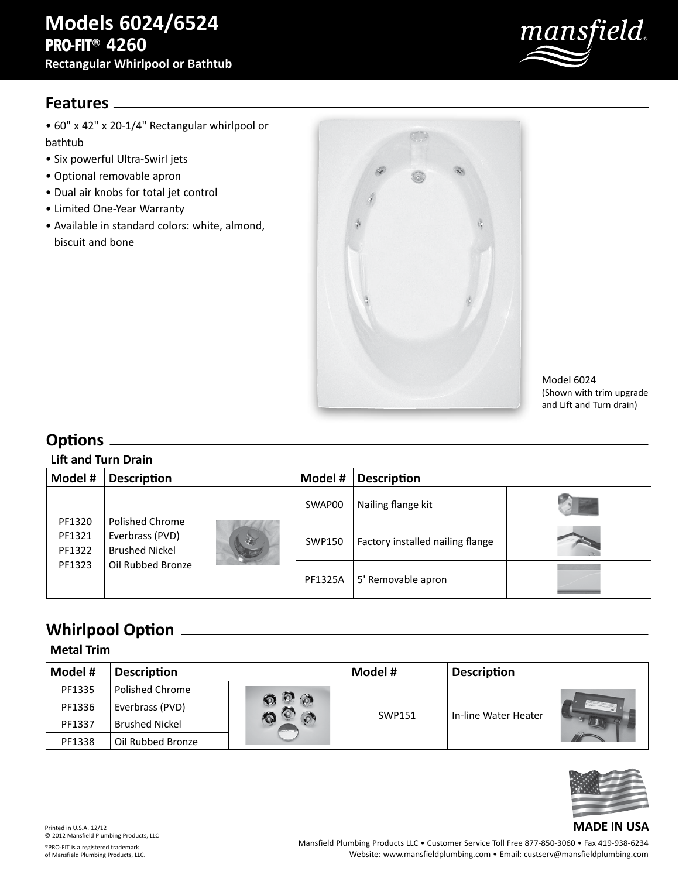

### **Features**

• 60" x 42" x 20-1/4" Rectangular whirlpool or bathtub

- Six powerful Ultra-Swirl jets
- Optional removable apron
- Dual air knobs for total jet control
- Limited One-Year Warranty
- Available in standard colors: white, almond, biscuit and bone



Model 6024 (Shown with trim upgrade and Lift and Turn drain)

## **Options**

#### **Lift and Turn Drain**

| Model #                    | <b>Description</b>                                          |    | Model #        | <b>Description</b>               |  |  |
|----------------------------|-------------------------------------------------------------|----|----------------|----------------------------------|--|--|
|                            |                                                             |    | SWAP00         | Nailing flange kit               |  |  |
| PF1320<br>PF1321<br>PF1322 | Polished Chrome<br>Everbrass (PVD)<br><b>Brushed Nickel</b> | 30 | SWP150         | Factory installed nailing flange |  |  |
| PF1323                     | Oil Rubbed Bronze                                           |    | <b>PF1325A</b> | 5' Removable apron               |  |  |

## **Whirlpool Option**

#### **Metal Trim**

| Model # | <b>Description</b>    |                | Model #       | <b>Description</b>   |  |
|---------|-----------------------|----------------|---------------|----------------------|--|
| PF1335  | Polished Chrome       | $\circledcirc$ | <b>SWP151</b> | In-line Water Heater |  |
| PF1336  | Everbrass (PVD)       |                |               |                      |  |
| PF1337  | <b>Brushed Nickel</b> |                |               |                      |  |
| PF1338  | Oil Rubbed Bronze     |                |               |                      |  |